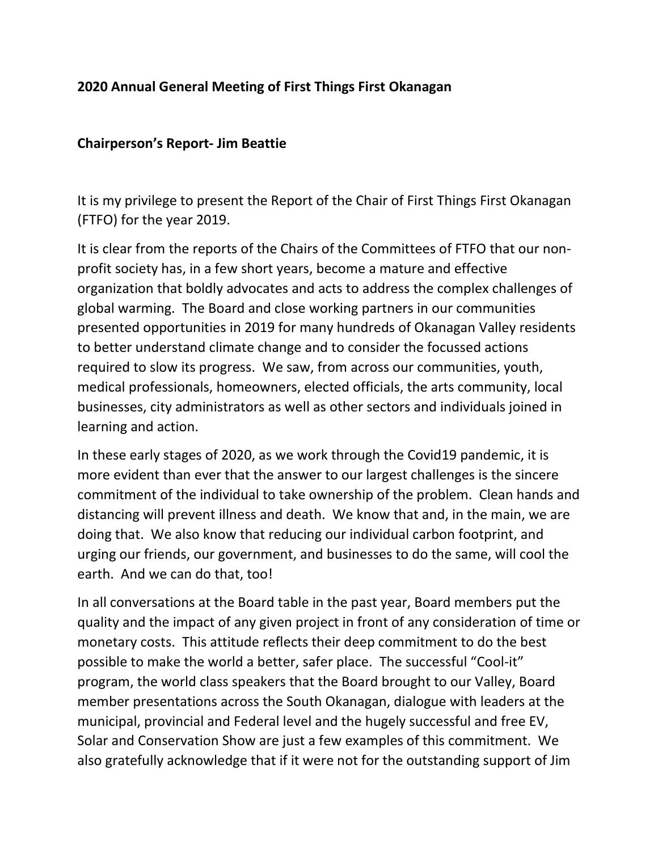# **2020 Annual General Meeting of First Things First Okanagan**

## **Chairperson's Report- Jim Beattie**

It is my privilege to present the Report of the Chair of First Things First Okanagan (FTFO) for the year 2019.

It is clear from the reports of the Chairs of the Committees of FTFO that our nonprofit society has, in a few short years, become a mature and effective organization that boldly advocates and acts to address the complex challenges of global warming. The Board and close working partners in our communities presented opportunities in 2019 for many hundreds of Okanagan Valley residents to better understand climate change and to consider the focussed actions required to slow its progress. We saw, from across our communities, youth, medical professionals, homeowners, elected officials, the arts community, local businesses, city administrators as well as other sectors and individuals joined in learning and action.

In these early stages of 2020, as we work through the Covid19 pandemic, it is more evident than ever that the answer to our largest challenges is the sincere commitment of the individual to take ownership of the problem. Clean hands and distancing will prevent illness and death. We know that and, in the main, we are doing that. We also know that reducing our individual carbon footprint, and urging our friends, our government, and businesses to do the same, will cool the earth. And we can do that, too!

In all conversations at the Board table in the past year, Board members put the quality and the impact of any given project in front of any consideration of time or monetary costs. This attitude reflects their deep commitment to do the best possible to make the world a better, safer place. The successful "Cool-it" program, the world class speakers that the Board brought to our Valley, Board member presentations across the South Okanagan, dialogue with leaders at the municipal, provincial and Federal level and the hugely successful and free EV, Solar and Conservation Show are just a few examples of this commitment. We also gratefully acknowledge that if it were not for the outstanding support of Jim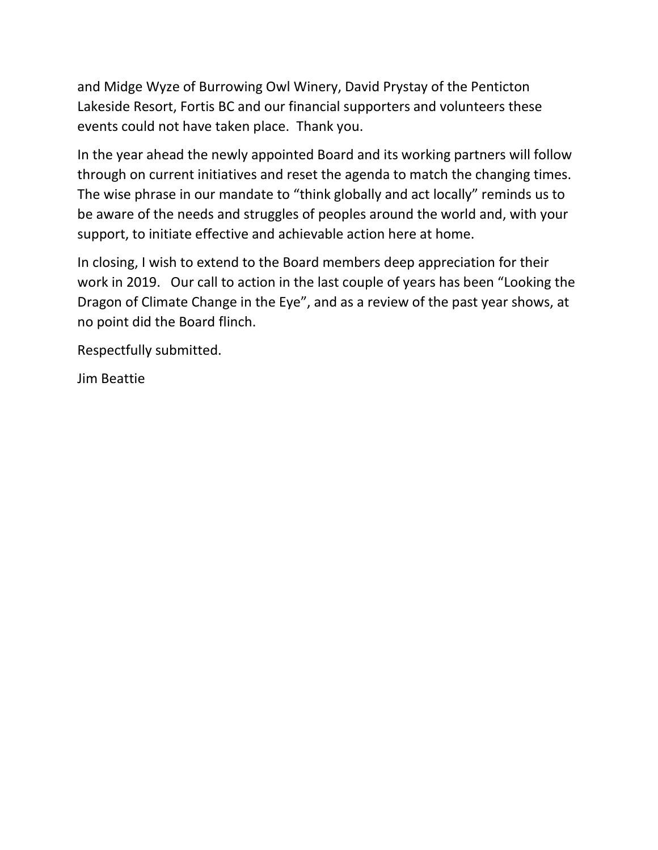and Midge Wyze of Burrowing Owl Winery, David Prystay of the Penticton Lakeside Resort, Fortis BC and our financial supporters and volunteers these events could not have taken place. Thank you.

In the year ahead the newly appointed Board and its working partners will follow through on current initiatives and reset the agenda to match the changing times. The wise phrase in our mandate to "think globally and act locally" reminds us to be aware of the needs and struggles of peoples around the world and, with your support, to initiate effective and achievable action here at home.

In closing, I wish to extend to the Board members deep appreciation for their work in 2019. Our call to action in the last couple of years has been "Looking the Dragon of Climate Change in the Eye", and as a review of the past year shows, at no point did the Board flinch.

Respectfully submitted.

Jim Beattie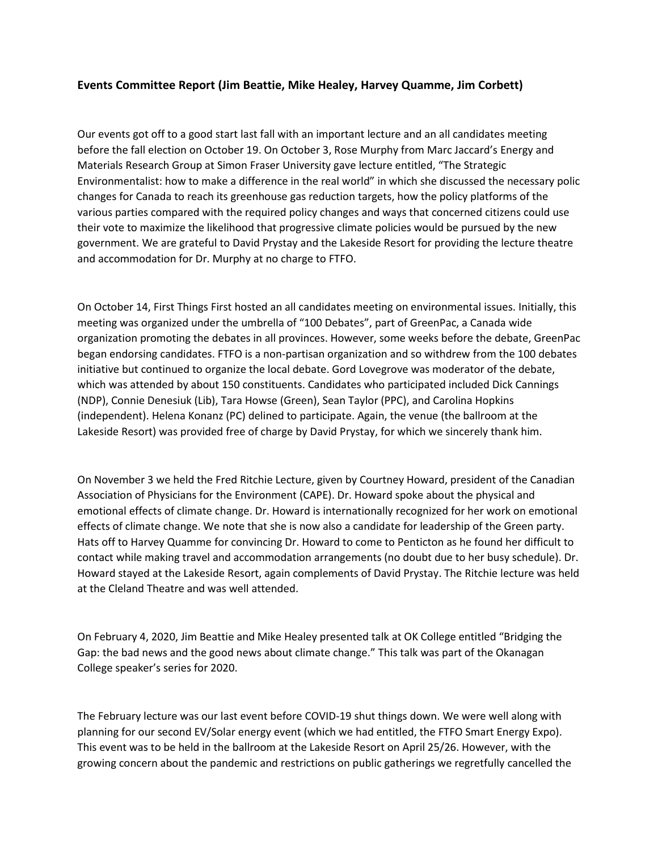#### **Events Committee Report (Jim Beattie, Mike Healey, Harvey Quamme, Jim Corbett)**

Our events got off to a good start last fall with an important lecture and an all candidates meeting before the fall election on October 19. On October 3, Rose Murphy from Marc Jaccard's Energy and Materials Research Group at Simon Fraser University gave lecture entitled, "The Strategic Environmentalist: how to make a difference in the real world" in which she discussed the necessary polic changes for Canada to reach its greenhouse gas reduction targets, how the policy platforms of the various parties compared with the required policy changes and ways that concerned citizens could use their vote to maximize the likelihood that progressive climate policies would be pursued by the new government. We are grateful to David Prystay and the Lakeside Resort for providing the lecture theatre and accommodation for Dr. Murphy at no charge to FTFO.

On October 14, First Things First hosted an all candidates meeting on environmental issues. Initially, this meeting was organized under the umbrella of "100 Debates", part of GreenPac, a Canada wide organization promoting the debates in all provinces. However, some weeks before the debate, GreenPac began endorsing candidates. FTFO is a non-partisan organization and so withdrew from the 100 debates initiative but continued to organize the local debate. Gord Lovegrove was moderator of the debate, which was attended by about 150 constituents. Candidates who participated included Dick Cannings (NDP), Connie Denesiuk (Lib), Tara Howse (Green), Sean Taylor (PPC), and Carolina Hopkins (independent). Helena Konanz (PC) delined to participate. Again, the venue (the ballroom at the Lakeside Resort) was provided free of charge by David Prystay, for which we sincerely thank him.

On November 3 we held the Fred Ritchie Lecture, given by Courtney Howard, president of the Canadian Association of Physicians for the Environment (CAPE). Dr. Howard spoke about the physical and emotional effects of climate change. Dr. Howard is internationally recognized for her work on emotional effects of climate change. We note that she is now also a candidate for leadership of the Green party. Hats off to Harvey Quamme for convincing Dr. Howard to come to Penticton as he found her difficult to contact while making travel and accommodation arrangements (no doubt due to her busy schedule). Dr. Howard stayed at the Lakeside Resort, again complements of David Prystay. The Ritchie lecture was held at the Cleland Theatre and was well attended.

On February 4, 2020, Jim Beattie and Mike Healey presented talk at OK College entitled "Bridging the Gap: the bad news and the good news about climate change." This talk was part of the Okanagan College speaker's series for 2020.

The February lecture was our last event before COVID-19 shut things down. We were well along with planning for our second EV/Solar energy event (which we had entitled, the FTFO Smart Energy Expo). This event was to be held in the ballroom at the Lakeside Resort on April 25/26. However, with the growing concern about the pandemic and restrictions on public gatherings we regretfully cancelled the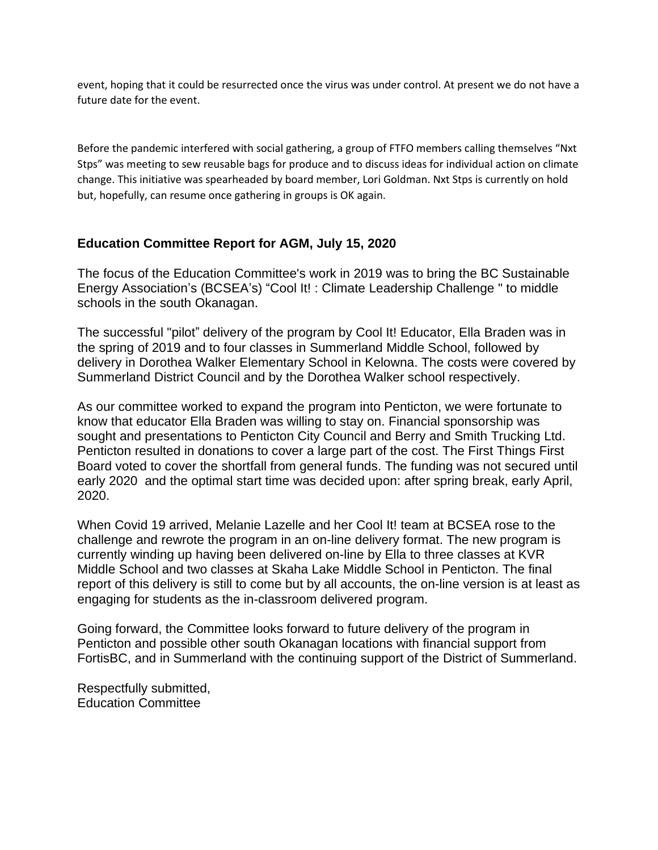event, hoping that it could be resurrected once the virus was under control. At present we do not have a future date for the event.

Before the pandemic interfered with social gathering, a group of FTFO members calling themselves "Nxt Stps" was meeting to sew reusable bags for produce and to discuss ideas for individual action on climate change. This initiative was spearheaded by board member, Lori Goldman. Nxt Stps is currently on hold but, hopefully, can resume once gathering in groups is OK again.

## **Education Committee Report for AGM, July 15, 2020**

The focus of the Education Committee's work in 2019 was to bring the BC Sustainable Energy Association's (BCSEA's) "Cool It! : Climate Leadership Challenge " to middle schools in the south Okanagan.

The successful "pilot" delivery of the program by Cool It! Educator, Ella Braden was in the spring of 2019 and to four classes in Summerland Middle School, followed by delivery in Dorothea Walker Elementary School in Kelowna. The costs were covered by Summerland District Council and by the Dorothea Walker school respectively.

As our committee worked to expand the program into Penticton, we were fortunate to know that educator Ella Braden was willing to stay on. Financial sponsorship was sought and presentations to Penticton City Council and Berry and Smith Trucking Ltd. Penticton resulted in donations to cover a large part of the cost. The First Things First Board voted to cover the shortfall from general funds. The funding was not secured until early 2020 and the optimal start time was decided upon: after spring break, early April, 2020.

When Covid 19 arrived, Melanie Lazelle and her Cool It! team at BCSEA rose to the challenge and rewrote the program in an on-line delivery format. The new program is currently winding up having been delivered on-line by Ella to three classes at KVR Middle School and two classes at Skaha Lake Middle School in Penticton. The final report of this delivery is still to come but by all accounts, the on-line version is at least as engaging for students as the in-classroom delivered program.

Going forward, the Committee looks forward to future delivery of the program in Penticton and possible other south Okanagan locations with financial support from FortisBC, and in Summerland with the continuing support of the District of Summerland.

Respectfully submitted, Education Committee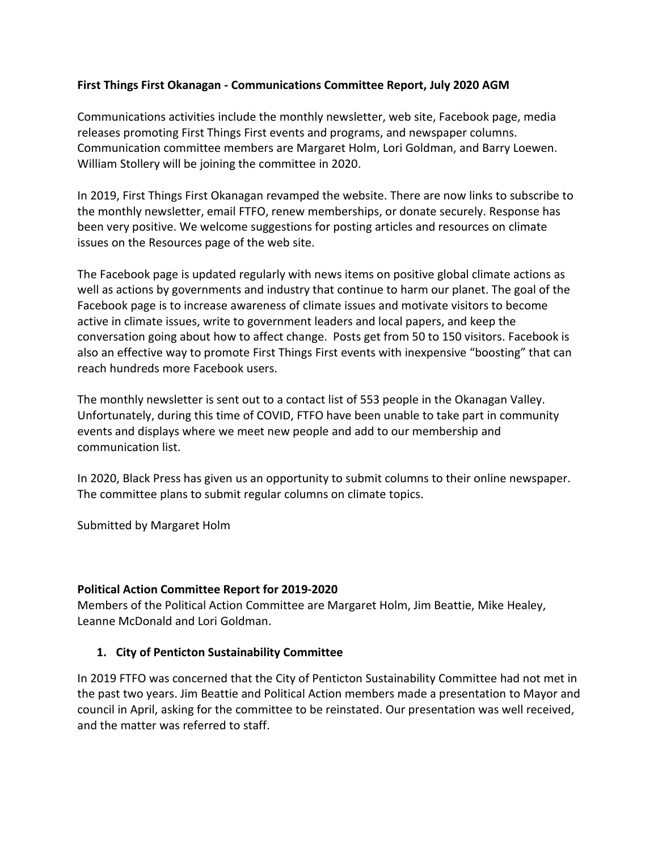#### **First Things First Okanagan - Communications Committee Report, July 2020 AGM**

Communications activities include the monthly newsletter, web site, Facebook page, media releases promoting First Things First events and programs, and newspaper columns. Communication committee members are Margaret Holm, Lori Goldman, and Barry Loewen. William Stollery will be joining the committee in 2020.

In 2019, First Things First Okanagan revamped the website. There are now links to subscribe to the monthly newsletter, email FTFO, renew memberships, or donate securely. Response has been very positive. We welcome suggestions for posting articles and resources on climate issues on the Resources page of the web site.

The Facebook page is updated regularly with news items on positive global climate actions as well as actions by governments and industry that continue to harm our planet. The goal of the Facebook page is to increase awareness of climate issues and motivate visitors to become active in climate issues, write to government leaders and local papers, and keep the conversation going about how to affect change. Posts get from 50 to 150 visitors. Facebook is also an effective way to promote First Things First events with inexpensive "boosting" that can reach hundreds more Facebook users.

The monthly newsletter is sent out to a contact list of 553 people in the Okanagan Valley. Unfortunately, during this time of COVID, FTFO have been unable to take part in community events and displays where we meet new people and add to our membership and communication list.

In 2020, Black Press has given us an opportunity to submit columns to their online newspaper. The committee plans to submit regular columns on climate topics.

Submitted by Margaret Holm

#### **Political Action Committee Report for 2019-2020**

Members of the Political Action Committee are Margaret Holm, Jim Beattie, Mike Healey, Leanne McDonald and Lori Goldman.

#### **1. City of Penticton Sustainability Committee**

In 2019 FTFO was concerned that the City of Penticton Sustainability Committee had not met in the past two years. Jim Beattie and Political Action members made a presentation to Mayor and council in April, asking for the committee to be reinstated. Our presentation was well received, and the matter was referred to staff.